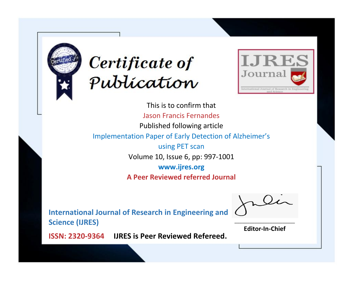



This is to confirm that Jason Francis Fernandes Published following article Implementation Paper of Early Detection of Alzheimer's using PET scan Volume 10, Issue 6, pp: 997-1001 **www.ijres.org A Peer Reviewed referred Journal**

**International Journal of Research in Engineering and Science (IJRES)**

\_\_\_\_\_\_\_\_\_\_\_\_\_\_\_\_\_\_\_\_\_\_\_\_ **Editor-In-Chief**

**Journal.**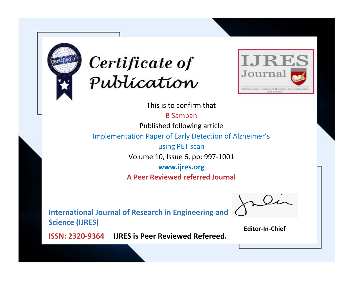



This is to confirm that

B Sampan

Published following article

Implementation Paper of Early Detection of Alzheimer's

using PET scan Volume 10, Issue 6, pp: 997-1001

**www.ijres.org**

**A Peer Reviewed referred Journal**

**International Journal of Research in Engineering and Science (IJRES)**

\_\_\_\_\_\_\_\_\_\_\_\_\_\_\_\_\_\_\_\_\_\_\_\_ **Editor-In-Chief**

**Journal.**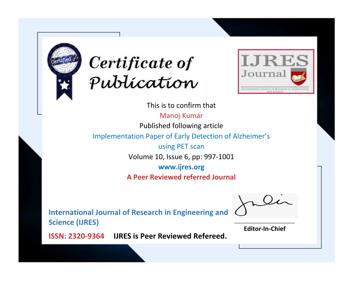



This is to confirm that

Manoj Kumar Published following article

Implementation Paper of Early Detection of Alzheimer's

using PET scan Volume 10, Issue 6, pp: 997-1001

**www.ijres.org**

**A Peer Reviewed referred Journal**

**International Journal of Research in Engineering and Science (IJRES)**

\_\_\_\_\_\_\_\_\_\_\_\_\_\_\_\_\_\_\_\_\_\_\_\_ **Editor-In-Chief**

**Journal.**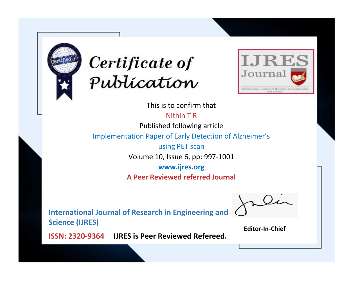



This is to confirm that

Nithin T R Published following article

Implementation Paper of Early Detection of Alzheimer's

using PET scan Volume 10, Issue 6, pp: 997-1001

**www.ijres.org**

**A Peer Reviewed referred Journal**

**International Journal of Research in Engineering and Science (IJRES)**

\_\_\_\_\_\_\_\_\_\_\_\_\_\_\_\_\_\_\_\_\_\_\_\_ **Editor-In-Chief**

**Journal.**